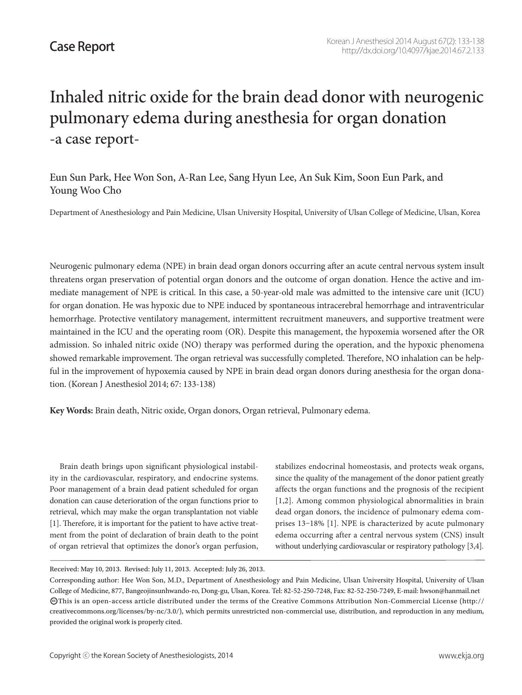# Inhaled nitric oxide for the brain dead donor with neurogenic pulmonary edema during anesthesia for organ donation -a case report-

### Eun Sun Park, Hee Won Son, A-Ran Lee, Sang Hyun Lee, An Suk Kim, Soon Eun Park, and Young Woo Cho

Department of Anesthesiology and Pain Medicine, Ulsan University Hospital, University of Ulsan College of Medicine, Ulsan, Korea

Neurogenic pulmonary edema (NPE) in brain dead organ donors occurring after an acute central nervous system insult threatens organ preservation of potential organ donors and the outcome of organ donation. Hence the active and immediate management of NPE is critical. In this case, a 50-year-old male was admitted to the intensive care unit (ICU) for organ donation. He was hypoxic due to NPE induced by spontaneous intracerebral hemorrhage and intraventricular hemorrhage. Protective ventilatory management, intermittent recruitment maneuvers, and supportive treatment were maintained in the ICU and the operating room (OR). Despite this management, the hypoxemia worsened after the OR admission. So inhaled nitric oxide (NO) therapy was performed during the operation, and the hypoxic phenomena showed remarkable improvement. The organ retrieval was successfully completed. Therefore, NO inhalation can be helpful in the improvement of hypoxemia caused by NPE in brain dead organ donors during anesthesia for the organ donation. (Korean J Anesthesiol 2014; 67: 133-138)

**Key Words:** Brain death, Nitric oxide, Organ donors, Organ retrieval, Pulmonary edema.

Brain death brings upon significant physiological instability in the cardiovascular, respiratory, and endocrine systems. Poor management of a brain dead patient scheduled for organ donation can cause deterioration of the organ functions prior to retrieval, which may make the organ transplantation not viable [1]. Therefore, it is important for the patient to have active treatment from the point of declaration of brain death to the point of organ retrieval that optimizes the donor's organ perfusion, stabilizes endocrinal homeostasis, and protects weak organs, since the quality of the management of the donor patient greatly affects the organ functions and the prognosis of the recipient [1,2]. Among common physiological abnormalities in brain dead organ donors, the incidence of pulmonary edema comprises 13-18% [1]. NPE is characterized by acute pulmonary edema occurring after a central nervous system (CNS) insult without underlying cardiovascular or respiratory pathology [3,4].

Received: May 10, 2013. Revised: July 11, 2013. Accepted: July 26, 2013.

Corresponding author: Hee Won Son, M.D., Department of Anesthesiology and Pain Medicine, Ulsan University Hospital, University of Ulsan College of Medicine, 877, Bangeojinsunhwando-ro, Dong-gu, Ulsan, Korea. Tel: 82-52-250-7248, Fax: 82-52-250-7249, E-mail: hwson@hanmail.net This is an open-access article distributed under the terms of the Creative Commons Attribution Non-Commercial License (http:// CC creativecommons.org/licenses/by-nc/3.0/), which permits unrestricted non-commercial use, distribution, and reproduction in any medium, provided the original work is properly cited.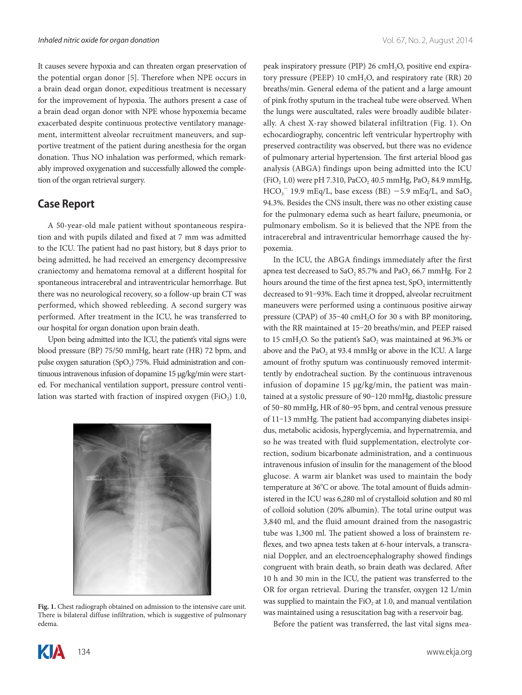It causes severe hypoxia and can threaten organ preservation of the potential organ donor [5]. Therefore when NPE occurs in a brain dead organ donor, expeditious treatment is necessary for the improvement of hypoxia. The authors present a case of a brain dead organ donor with NPE whose hypoxemia became exacerbated despite continuous protective ventilatory management, intermittent alveolar recruitment maneuvers, and supportive treatment of the patient during anesthesia for the organ donation. Thus NO inhalation was performed, which remarkably improved oxygenation and successfully allowed the completion of the organ retrieval surgery.

#### **Case Report**

A 50-year-old male patient without spontaneous respiration and with pupils dilated and fixed at 7 mm was admitted to the ICU. The patient had no past history, but 8 days prior to being admitted, he had received an emergency decompressive craniectomy and hematoma removal at a different hospital for spontaneous intracerebral and intraventricular hemorrhage. But there was no neurological recovery, so a follow-up brain CT was performed, which showed rebleeding. A second surgery was performed. After treatment in the ICU, he was transferred to our hospital for organ donation upon brain death.

Upon being admitted into the ICU, the patient's vital signs were blood pressure (BP) 75/50 mmHg, heart rate (HR) 72 bpm, and pulse oxygen saturation (SpO<sub>2</sub>) 75%. Fluid administration and continuous intravenous infusion of dopamine 15 μg/kg/min were started. For mechanical ventilation support, pressure control ventilation was started with fraction of inspired oxygen (FiO<sub>2</sub>) 1.0,



**Fig. 1.** Chest radiograph obtained on admission to the intensive care unit. There is bilateral diffuse infiltration, which is suggestive of pulmonary edema.

peak inspiratory pressure (PIP) 26 cmH<sub>2</sub>O, positive end expiratory pressure (PEEP) 10  $\text{cm}H_2O$ , and respiratory rate (RR) 20 breaths/min. General edema of the patient and a large amount of pink frothy sputum in the tracheal tube were observed. When the lungs were auscultated, rales were broadly audible bilaterally. A chest X-ray showed bilateral infiltration (Fig. 1). On echocardiography, concentric left ventricular hypertrophy with preserved contractility was observed, but there was no evidence of pulmonary arterial hypertension. The first arterial blood gas analysis (ABGA) findings upon being admitted into the ICU (FiO<sub>2</sub> 1.0) were pH 7.310, PaCO<sub>2</sub> 40.5 mmHg, PaO<sub>2</sub> 84.9 mmHg,  $HCO_3$ <sup>-</sup> 19.9 mEq/L, base excess (BE) -5.9 mEq/L, and SaO<sub>2</sub> 94.3%. Besides the CNS insult, there was no other existing cause for the pulmonary edema such as heart failure, pneumonia, or pulmonary embolism. So it is believed that the NPE from the intracerebral and intraventricular hemorrhage caused the hypoxemia.

In the ICU, the ABGA findings immediately after the first apnea test decreased to SaO<sub>2</sub> 85.7% and PaO<sub>2</sub> 66.7 mmHg. For 2 hours around the time of the first apnea test, SpO<sub>2</sub> intermittently decreased to 91-93%. Each time it dropped, alveolar recruitment maneuvers were performed using a continuous positive airway pressure (CPAP) of 35-40 cmH<sub>2</sub>O for 30 s with BP monitoring, with the RR maintained at 15-20 breaths/min, and PEEP raised to 15 cmH<sub>2</sub>O. So the patient's  $SaO<sub>2</sub>$  was maintained at 96.3% or above and the PaO<sub>2</sub> at 93.4 mmHg or above in the ICU. A large amount of frothy sputum was continuously removed intermittently by endotracheal suction. By the continuous intravenous infusion of dopamine 15 μg/kg/min, the patient was maintained at a systolic pressure of 90-120 mmHg, diastolic pressure of 50-80 mmHg, HR of 80-95 bpm, and central venous pressure of 11-13 mmHg. The patient had accompanying diabetes insipidus, metabolic acidosis, hyperglycemia, and hypernatremia, and so he was treated with fluid supplementation, electrolyte correction, sodium bicarbonate administration, and a continuous intravenous infusion of insulin for the management of the blood glucose. A warm air blanket was used to maintain the body temperature at 36°C or above. The total amount of fluids administered in the ICU was 6,280 ml of crystalloid solution and 80 ml of colloid solution (20% albumin). The total urine output was 3,840 ml, and the fluid amount drained from the nasogastric tube was 1,300 ml. The patient showed a loss of brainstem reflexes, and two apnea tests taken at 6-hour intervals, a transcranial Doppler, and an electroencephalography showed findings congruent with brain death, so brain death was declared. After 10 h and 30 min in the ICU, the patient was transferred to the OR for organ retrieval. During the transfer, oxygen 12 L/min was supplied to maintain the  $FiO<sub>2</sub>$  at 1.0, and manual ventilation was maintained using a resuscitation bag with a reservoir bag.

Before the patient was transferred, the last vital signs mea-

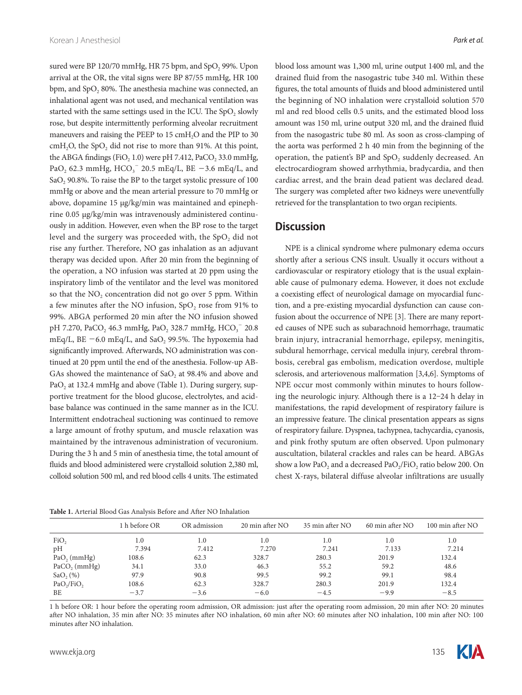sured were BP 120/70 mmHg, HR 75 bpm, and SpO<sub>2</sub> 99%. Upon arrival at the OR, the vital signs were BP 87/55 mmHg, HR 100 bpm, and  $SpO<sub>2</sub> 80$ %. The anesthesia machine was connected, an inhalational agent was not used, and mechanical ventilation was started with the same settings used in the ICU. The SpO<sub>2</sub> slowly rose, but despite intermittently performing alveolar recruitment maneuvers and raising the PEEP to 15 cmH<sub>2</sub>O and the PIP to 30  $cmH<sub>2</sub>O$ , the SpO<sub>2</sub> did not rise to more than 91%. At this point, the ABGA findings (FiO<sub>2</sub> 1.0) were pH 7.412, PaCO<sub>2</sub> 33.0 mmHg, PaO<sub>2</sub> 62.3 mmHg, HCO<sub>3</sub><sup>-</sup> 20.5 mEq/L, BE -3.6 mEq/L, and SaO<sub>2</sub> 90.8%. To raise the BP to the target systolic pressure of 100 mmHg or above and the mean arterial pressure to 70 mmHg or above, dopamine 15 μg/kg/min was maintained and epinephrine 0.05 μg/kg/min was intravenously administered continuously in addition. However, even when the BP rose to the target level and the surgery was proceeded with, the  $SpO<sub>2</sub>$  did not rise any further. Therefore, NO gas inhalation as an adjuvant therapy was decided upon. After 20 min from the beginning of the operation, a NO infusion was started at 20 ppm using the inspiratory limb of the ventilator and the level was monitored so that the  $NO<sub>2</sub>$  concentration did not go over 5 ppm. Within a few minutes after the NO infusion, SpO<sub>2</sub> rose from 91% to 99%. ABGA performed 20 min after the NO infusion showed pH 7.270, PaCO<sub>2</sub> 46.3 mmHg, PaO<sub>2</sub> 328.7 mmHg, HCO<sub>3</sub><sup>-</sup> 20.8 mEq/L, BE  $-6.0$  mEq/L, and SaO<sub>2</sub> 99.5%. The hypoxemia had significantly improved. Afterwards, NO administration was continued at 20 ppm until the end of the anesthesia. Follow-up AB-GAs showed the maintenance of  $CaO<sub>2</sub>$  at 98.4% and above and PaO<sub>2</sub> at 132.4 mmHg and above (Table 1). During surgery, supportive treatment for the blood glucose, electrolytes, and acidbase balance was continued in the same manner as in the ICU. Intermittent endotracheal suctioning was continued to remove a large amount of frothy sputum, and muscle relaxation was maintained by the intravenous administration of vecuronium. During the 3 h and 5 min of anesthesia time, the total amount of fluids and blood administered were crystalloid solution 2,380 ml, colloid solution 500 ml, and red blood cells 4 units. The estimated

**Table 1.** Arterial Blood Gas Analysis Before and After NO Inhalation

blood loss amount was 1,300 ml, urine output 1400 ml, and the drained fluid from the nasogastric tube 340 ml. Within these figures, the total amounts of fluids and blood administered until the beginning of NO inhalation were crystalloid solution 570 ml and red blood cells 0.5 units, and the estimated blood loss amount was 150 ml, urine output 320 ml, and the drained fluid from the nasogastric tube 80 ml. As soon as cross-clamping of the aorta was performed 2 h 40 min from the beginning of the operation, the patient's BP and SpO<sub>2</sub> suddenly decreased. An electrocardiogram showed arrhythmia, bradycardia, and then cardiac arrest, and the brain dead patient was declared dead. The surgery was completed after two kidneys were uneventfully retrieved for the transplantation to two organ recipients.

#### **Discussion**

NPE is a clinical syndrome where pulmonary edema occurs shortly after a serious CNS insult. Usually it occurs without a cardiovascular or respiratory etiology that is the usual explainable cause of pulmonary edema. However, it does not exclude a coexisting effect of neurological damage on myocardial function, and a pre-existing myocardial dysfunction can cause confusion about the occurrence of NPE [3]. There are many reported causes of NPE such as subarachnoid hemorrhage, traumatic brain injury, intracranial hemorrhage, epilepsy, meningitis, subdural hemorrhage, cervical medulla injury, cerebral thrombosis, cerebral gas embolism, medication overdose, multiple sclerosis, and arteriovenous malformation [3,4,6]. Symptoms of NPE occur most commonly within minutes to hours following the neurologic injury. Although there is a 12-24 h delay in manifestations, the rapid development of respiratory failure is an impressive feature. The clinical presentation appears as signs of respiratory failure. Dyspnea, tachypnea, tachycardia, cyanosis, and pink frothy sputum are often observed. Upon pulmonary auscultation, bilateral crackles and rales can be heard. ABGAs show a low PaO<sub>2</sub> and a decreased PaO<sub>2</sub>/FiO<sub>2</sub> ratio below 200. On chest X-rays, bilateral diffuse alveolar infiltrations are usually

|                                    | 1 h before OR | OR admission | 20 min after NO | 35 min after NO | $60 \text{ min after NO}$ | 100 min after NO |
|------------------------------------|---------------|--------------|-----------------|-----------------|---------------------------|------------------|
| FiO,                               | 1.0           | 1.0          | 1.0             | 1.0             | 1.0                       | 1.0              |
| pН                                 | 7.394         | 7.412        | 7.270           | 7.241           | 7.133                     | 7.214            |
| $PaO$ , $(mmHg)$                   | 108.6         | 62.3         | 328.7           | 280.3           | 201.9                     | 132.4            |
| $PaCO2$ (mmHg)                     | 34.1          | 33.0         | 46.3            | 55.2            | 59.2                      | 48.6             |
| $SaO,$ (%)                         | 97.9          | 90.8         | 99.5            | 99.2            | 99.1                      | 98.4             |
| PaO <sub>2</sub> /FiO <sub>2</sub> | 108.6         | 62.3         | 328.7           | 280.3           | 201.9                     | 132.4            |
| BE                                 | $-3.7$        | $-3.6$       | $-6.0$          | $-4.5$          | $-9.9$                    | $-8.5$           |

1 h before OR: 1 hour before the operating room admission, OR admission: just after the operating room admission, 20 min after NO: 20 minutes after NO inhalation, 35 min after NO: 35 minutes after NO inhalation, 60 min after NO: 60 minutes after NO inhalation, 100 min after NO: 100 minutes after NO inhalation.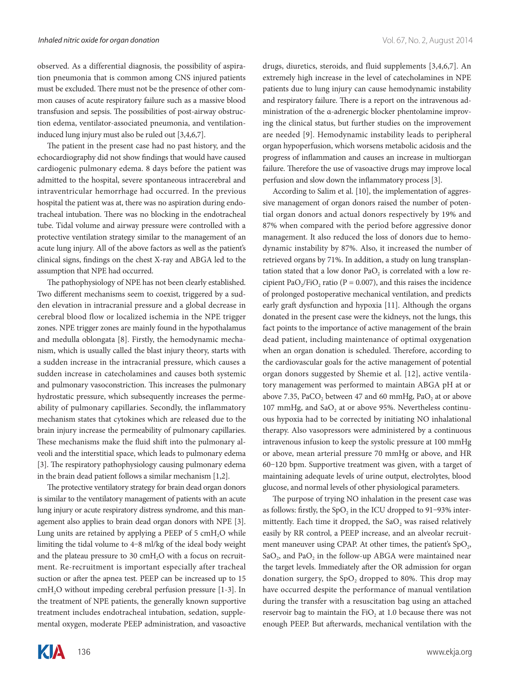observed. As a differential diagnosis, the possibility of aspiration pneumonia that is common among CNS injured patients must be excluded. There must not be the presence of other common causes of acute respiratory failure such as a massive blood transfusion and sepsis. The possibilities of post-airway obstruction edema, ventilator-associated pneumonia, and ventilationinduced lung injury must also be ruled out [3,4,6,7].

The patient in the present case had no past history, and the echocardiography did not show findings that would have caused cardiogenic pulmonary edema. 8 days before the patient was admitted to the hospital, severe spontaneous intracerebral and intraventricular hemorrhage had occurred. In the previous hospital the patient was at, there was no aspiration during endotracheal intubation. There was no blocking in the endotracheal tube. Tidal volume and airway pressure were controlled with a protective ventilation strategy similar to the management of an acute lung injury. All of the above factors as well as the patient's clinical signs, findings on the chest X-ray and ABGA led to the assumption that NPE had occurred.

The pathophysiology of NPE has not been clearly established. Two different mechanisms seem to coexist, triggered by a sudden elevation in intracranial pressure and a global decrease in cerebral blood flow or localized ischemia in the NPE trigger zones. NPE trigger zones are mainly found in the hypothalamus and medulla oblongata [8]. Firstly, the hemodynamic mechanism, which is usually called the blast injury theory, starts with a sudden increase in the intracranial pressure, which causes a sudden increase in catecholamines and causes both systemic and pulmonary vasoconstriction. This increases the pulmonary hydrostatic pressure, which subsequently increases the permeability of pulmonary capillaries. Secondly, the inflammatory mechanism states that cytokines which are released due to the brain injury increase the permeability of pulmonary capillaries. These mechanisms make the fluid shift into the pulmonary alveoli and the interstitial space, which leads to pulmonary edema [3]. The respiratory pathophysiology causing pulmonary edema in the brain dead patient follows a similar mechanism [1,2].

The protective ventilatory strategy for brain dead organ donors is similar to the ventilatory management of patients with an acute lung injury or acute respiratory distress syndrome, and this management also applies to brain dead organ donors with NPE [3]. Lung units are retained by applying a PEEP of  $5 \text{ cm}H<sub>2</sub>O$  while limiting the tidal volume to 4-8 ml/kg of the ideal body weight and the plateau pressure to 30  $cmH<sub>2</sub>O$  with a focus on recruitment. Re-recruitment is important especially after tracheal suction or after the apnea test. PEEP can be increased up to 15  $cmH<sub>2</sub>O$  without impeding cerebral perfusion pressure [1-3]. In the treatment of NPE patients, the generally known supportive treatment includes endotracheal intubation, sedation, supplemental oxygen, moderate PEEP administration, and vasoactive



According to Salim et al. [10], the implementation of aggressive management of organ donors raised the number of potential organ donors and actual donors respectively by 19% and 87% when compared with the period before aggressive donor management. It also reduced the loss of donors due to hemodynamic instability by 87%. Also, it increased the number of retrieved organs by 71%. In addition, a study on lung transplantation stated that a low donor  $PaO<sub>2</sub>$  is correlated with a low recipient PaO<sub>2</sub>/FiO<sub>2</sub> ratio (P = 0.007), and this raises the incidence of prolonged postoperative mechanical ventilation, and predicts early graft dysfunction and hypoxia [11]. Although the organs donated in the present case were the kidneys, not the lungs, this fact points to the importance of active management of the brain dead patient, including maintenance of optimal oxygenation when an organ donation is scheduled. Therefore, according to the cardiovascular goals for the active management of potential organ donors suggested by Shemie et al. [12], active ventilatory management was performed to maintain ABGA pH at or above 7.35, PaCO<sub>2</sub> between 47 and 60 mmHg, PaO<sub>2</sub> at or above 107 mmHg, and  $SaO<sub>2</sub>$  at or above 95%. Nevertheless continuous hypoxia had to be corrected by initiating NO inhalational therapy. Also vasopressors were administered by a continuous intravenous infusion to keep the systolic pressure at 100 mmHg or above, mean arterial pressure 70 mmHg or above, and HR 60-120 bpm. Supportive treatment was given, with a target of maintaining adequate levels of urine output, electrolytes, blood glucose, and normal levels of other physiological parameters.

The purpose of trying NO inhalation in the present case was as follows: firstly, the  $SpO<sub>2</sub>$  in the ICU dropped to 91-93% intermittently. Each time it dropped, the  $SaO<sub>2</sub>$  was raised relatively easily by RR control, a PEEP increase, and an alveolar recruitment maneuver using CPAP. At other times, the patient's  $SpO<sub>2</sub>$ ,  $SaO<sub>2</sub>$ , and Pa $O<sub>2</sub>$  in the follow-up ABGA were maintained near the target levels. Immediately after the OR admission for organ donation surgery, the  $SpO$ , dropped to 80%. This drop may have occurred despite the performance of manual ventilation during the transfer with a resuscitation bag using an attached reservoir bag to maintain the  $FiO<sub>2</sub>$  at 1.0 because there was not enough PEEP. But afterwards, mechanical ventilation with the

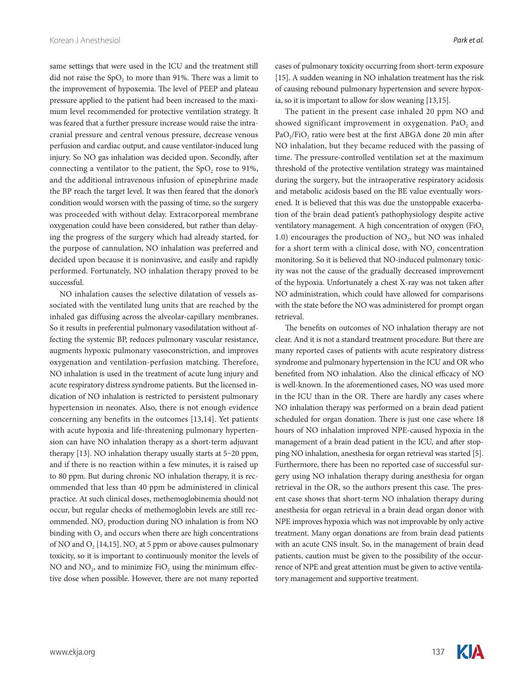same settings that were used in the ICU and the treatment still did not raise the SpO<sub>2</sub> to more than 91%. There was a limit to the improvement of hypoxemia. The level of PEEP and plateau pressure applied to the patient had been increased to the maximum level recommended for protective ventilation strategy. It was feared that a further pressure increase would raise the intracranial pressure and central venous pressure, decrease venous perfusion and cardiac output, and cause ventilator-induced lung injury. So NO gas inhalation was decided upon. Secondly, after connecting a ventilator to the patient, the  $SpO<sub>2</sub>$  rose to  $91\%$ , and the additional intravenous infusion of epinephrine made the BP reach the target level. It was then feared that the donor's condition would worsen with the passing of time, so the surgery was proceeded with without delay. Extracorporeal membrane oxygenation could have been considered, but rather than delaying the progress of the surgery which had already started, for the purpose of cannulation, NO inhalation was preferred and decided upon because it is noninvasive, and easily and rapidly performed. Fortunately, NO inhalation therapy proved to be successful.

NO inhalation causes the selective dilatation of vessels associated with the ventilated lung units that are reached by the inhaled gas diffusing across the alveolar-capillary membranes. So it results in preferential pulmonary vasodilatation without affecting the systemic BP, reduces pulmonary vascular resistance, augments hypoxic pulmonary vasoconstriction, and improves oxygenation and ventilation-perfusion matching. Therefore, NO inhalation is used in the treatment of acute lung injury and acute respiratory distress syndrome patients. But the licensed indication of NO inhalation is restricted to persistent pulmonary hypertension in neonates. Also, there is not enough evidence concerning any benefits in the outcomes [13,14]. Yet patients with acute hypoxia and life-threatening pulmonary hypertension can have NO inhalation therapy as a short-term adjuvant therapy [13]. NO inhalation therapy usually starts at 5-20 ppm, and if there is no reaction within a few minutes, it is raised up to 80 ppm. But during chronic NO inhalation therapy, it is recommended that less than 40 ppm be administered in clinical practice. At such clinical doses, methemoglobinemia should not occur, but regular checks of methemoglobin levels are still recommended. NO<sub>2</sub> production during NO inhalation is from NO binding with O<sub>2</sub> and occurs when there are high concentrations of NO and  $O<sub>2</sub>$  [14,15]. NO<sub>2</sub> at 5 ppm or above causes pulmonary toxicity, so it is important to continuously monitor the levels of NO and NO<sub>2</sub>, and to minimize FiO<sub>2</sub> using the minimum effective dose when possible. However, there are not many reported

cases of pulmonary toxicity occurring from short-term exposure [15]. A sudden weaning in NO inhalation treatment has the risk of causing rebound pulmonary hypertension and severe hypoxia, so it is important to allow for slow weaning [13,15].

The patient in the present case inhaled 20 ppm NO and showed significant improvement in oxygenation.  $PaO<sub>2</sub>$  and PaO<sub>2</sub>/FiO<sub>2</sub> ratio were best at the first ABGA done 20 min after NO inhalation, but they became reduced with the passing of time. The pressure-controlled ventilation set at the maximum threshold of the protective ventilation strategy was maintained during the surgery, but the intraoperative respiratory acidosis and metabolic acidosis based on the BE value eventually worsened. It is believed that this was due the unstoppable exacerbation of the brain dead patient's pathophysiology despite active ventilatory management. A high concentration of oxygen  $(FiO<sub>2</sub>)$ 1.0) encourages the production of  $NO<sub>2</sub>$ , but  $NO$  was inhaled for a short term with a clinical dose, with  $NO<sub>2</sub>$  concentration monitoring. So it is believed that NO-induced pulmonary toxicity was not the cause of the gradually decreased improvement of the hypoxia. Unfortunately a chest X-ray was not taken after NO administration, which could have allowed for comparisons with the state before the NO was administered for prompt organ retrieval.

The benefits on outcomes of NO inhalation therapy are not clear. And it is not a standard treatment procedure. But there are many reported cases of patients with acute respiratory distress syndrome and pulmonary hypertension in the ICU and OR who benefited from NO inhalation. Also the clinical efficacy of NO is well-known. In the aforementioned cases, NO was used more in the ICU than in the OR. There are hardly any cases where NO inhalation therapy was performed on a brain dead patient scheduled for organ donation. There is just one case where 18 hours of NO inhalation improved NPE-caused hypoxia in the management of a brain dead patient in the ICU, and after stopping NO inhalation, anesthesia for organ retrieval was started [5]. Furthermore, there has been no reported case of successful surgery using NO inhalation therapy during anesthesia for organ retrieval in the OR, so the authors present this case. The present case shows that short-term NO inhalation therapy during anesthesia for organ retrieval in a brain dead organ donor with NPE improves hypoxia which was not improvable by only active treatment. Many organ donations are from brain dead patients with an acute CNS insult. So, in the management of brain dead patients, caution must be given to the possibility of the occurrence of NPE and great attention must be given to active ventilatory management and supportive treatment.